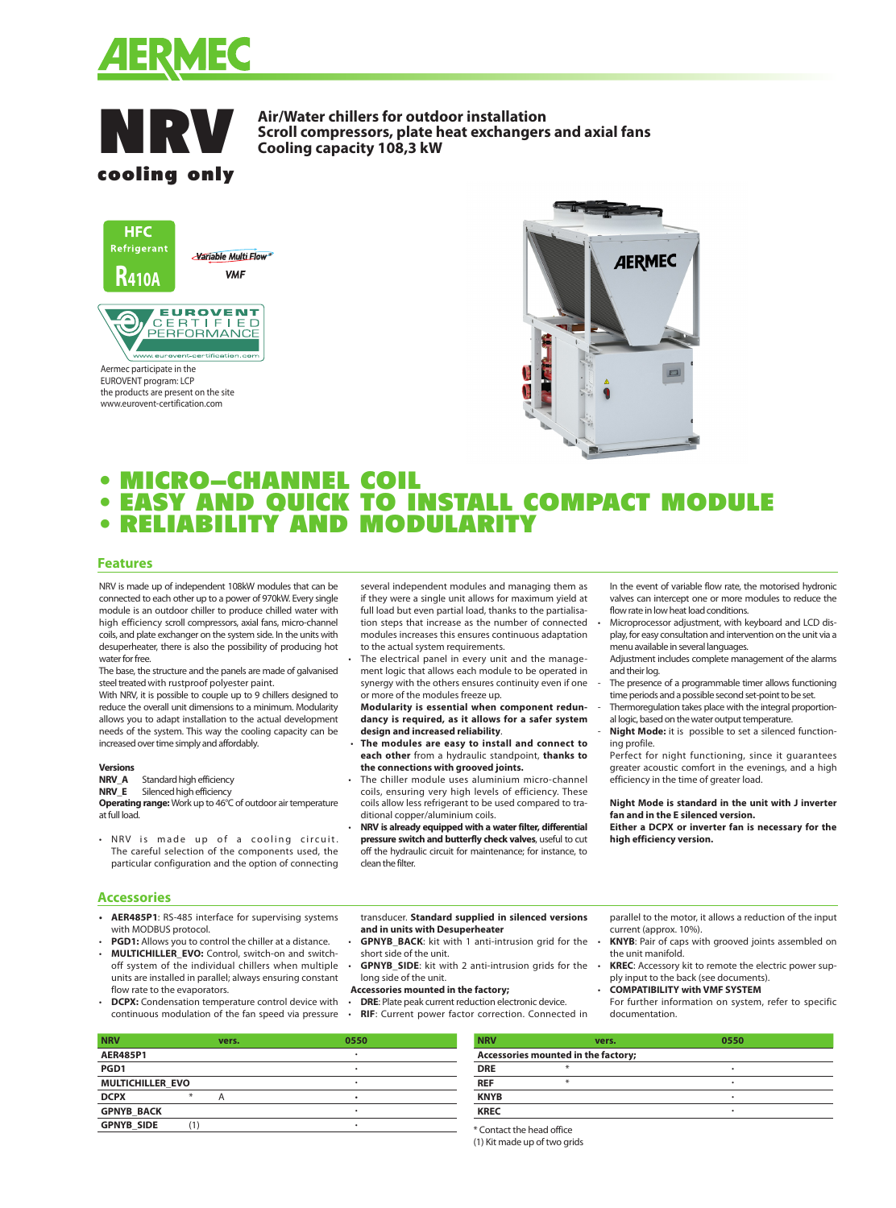



**Air/Water chillers for outdoor installation Scroll compressors, plate heat exchangers and axial fans** Cooling capacity 108,3 kW



Aermec participate in the EUROVENT program: LCP the products are present on the site www.eurovent-certification.com



# • MICRO-CHANNEL COIL • MICRO—CHANNEL COIL<br>• EASY AND QUICK TO INSTALL COMPACT MODULE • EASY AND QUICK TO INSTALL C<br>• RELIABILITY AND MODULARITY

#### **Features**

NRV is made up of independent 108kW modules that can be connected to each other up to a power of 970kW. Every single module is an outdoor chiller to produce chilled water with high efficiency scroll compressors, axial fans, micro-channel coils, and plate exchanger on the system side. In the units with desuperheater, there is also the possibility of producing hot water for free.

The base, the structure and the panels are made of galvanised steel treated with rustproof polyester paint.

With NRV, it is possible to couple up to 9 chillers designed to reduce the overall unit dimensions to a minimum. Modularity allows you to adapt installation to the actual development needs of the system. This way the cooling capacity can be increased over time simply and affordably.

#### **Versions**

**NRV\_A** Standard high efficiency

**NRV\_E** Silenced high efficiency **Operating range:** Work up to 46°C of outdoor air temperature at full load.

• NRV is made up of a cooling circuit. The careful selection of the components used, the particular configuration and the option of connecting

several independent modules and managing them as if they were a single unit allows for maximum yield at full load but even partial load, thanks to the partialisation steps that increase as the number of connected modules increases this ensures continuous adaptation to the actual system requirements.

The electrical panel in every unit and the management logic that allows each module to be operated in synergy with the others ensures continuity even if one or more of the modules freeze up.

**Modularity is essential when component redundancy is required, as it allows for a safer system design and increased reliability**.

 • **The modules are easy to install and connect to each other** from a hydraulic standpoint, **thanks to the connections with grooved joints.**

The chiller module uses aluminium micro-channel coils, ensuring very high levels of efficiency. These coils allow less refrigerant to be used compared to traditional copper/aluminium coils.

• **NRV is already equipped with a water filter, differential pressure switch and butterfly check valves**, useful to cut off the hydraulic circuit for maintenance; for instance, to clean the filter.

- In the event of variable flow rate, the motorised hydronic valves can intercept one or more modules to reduce the flow rate in low heat load conditions.
- Microprocessor adjustment, with keyboard and LCD display, for easy consultation and intervention on the unit via a menu available in several languages.

Adjustment includes complete management of the alarms and their log.

- The presence of a programmable timer allows functioning time periods and a possible second set-point to be set.
- Thermoregulation takes place with the integral proportional logic, based on the water output temperature.
- Night Mode: it is possible to set a silenced functioning profile.

Perfect for night functioning, since it guarantees greater acoustic comfort in the evenings, and a high efficiency in the time of greater load.

#### **Night Mode is standard in the unit with J inverter fan and in the E silenced version.**

**Either a DCPX or inverter fan is necessary for the high efficiency version.**

parallel to the motor, it allows a reduction of the input

• **KNYB**: Pair of caps with grooved joints assembled on

• **KREC**: Accessory kit to remote the electric power sup-

For further information on system, refer to specific

ply input to the back (see documents). • **COMPATIBILITY with VMF SYSTEM**

### **Accessories**

- **AER485P1**: RS-485 interface for supervising systems with MODBUS protocol.
- **PGD1:** Allows you to control the chiller at a distance. • **MULTICHILLER\_EVO:** Control, switch-on and switchoff system of the individual chillers when multiple units are installed in parallel; always ensuring constant flow rate to the evaporators.

**DCPX:** Condensation temperature control device with continuous modulation of the fan speed via pressure

transducer. **Standard supplied in silenced versions and in units with Desuperheater**

- **GPNYB\_BACK**: kit with 1 anti-intrusion grid for the short side of the unit.
- **GPNYB\_SIDE**: kit with 2 anti-intrusion grids for the long side of the unit.
- **Accessories mounted in the factory;**
- **DRE:** Plate peak current reduction electronic device.<br>• **RIE:** Current nower factor correction. Connect • **RIF**: Current power factor correction. Connected in
- 

**NRV vers. 0550 AER485P1** • **PGD1** • **MULTICHILLER\_EVO** • **DCPX** \* A • **GPNYB\_BACK** • **GPNYB\_SIDE** (1) •

| <b>NRV</b>  | vers.                               | 0550 |  |  |
|-------------|-------------------------------------|------|--|--|
|             | Accessories mounted in the factory; |      |  |  |
| <b>DRE</b>  |                                     | ٠    |  |  |
| <b>REF</b>  | ⋇                                   | ٠    |  |  |
| <b>KNYB</b> |                                     | ٠    |  |  |
| <b>KREC</b> |                                     | ٠    |  |  |

current (approx. 10%).

the unit manifold.

documentation.

\* Contact the head office (1) Kit made up of two grids